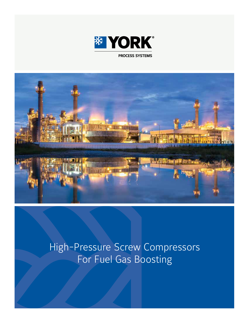



# High-Pressure Screw Compressors For Fuel Gas Boosting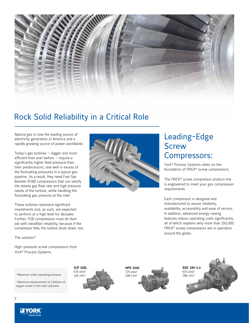

## Rock Solid Reliability in a Critical Role

Natural gas is now the leading source of electricity generation in America and a rapidly growing source of power worldwide.

Today's gas turbines — bigger and more efficient than ever before — require a significantly higher feed pressure than their predecessors, one well in excess of the fluctuating pressures in a typical gas pipeline. As a result, they need Fuel Gas Booster (FGB) compressors that can satisfy the steady gas flow rate and high pressure needs of the turbine, while handling the fluctuating gas pressure at the inlet.

These turbines represent significant investments and, as such, are expected to perform at a high level for decades. Further, FGB compressors must do their job with steadfast reliability, because if the compressor fails, the turbine shuts down, too.

The solution?

High-pressure screw compressors from York® Process Systems.



## Leading-Edge **Screw** Compressors:

York® Process Systems relies on the foundation of FRICK® screw compressors.

The FRICK® screw compressor product line is engineered to meet your gas compression requirements.

Each compressor is designed and manufactured to assure reliability, availability, accessibility and ease of service. In addition, advanced energy-saving features reduce operating costs significantly, all of which explains why more than 150,000 FRICK® screw compressors are in operation around the globe.

 $14$ Maximum outlet operating pressure  $145 \text{ cfm}^2$   $208 \text{ cfm}^2$   $208 \text{ cfm}^2$   $788 \text{ cfm}^2$ 

2 Maximum displacement at 3,350rpm of largest model in this rotor diameter



**HPS 1510**   $725$  psia $1$ 208 cfm2



**SGC 193-1.3**   $615$  psia<sup>1</sup>



2

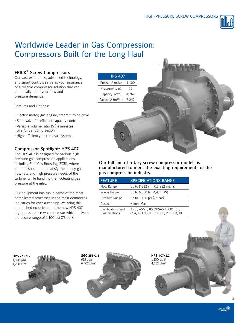

## Worldwide Leader in Gas Compression: Compressors Built for the Long Haul

## FRICK® Screw Compressors

Our vast experience, advanced technology, and smart controls serve as your assurance of a reliable compressor solution that can continually meet your flow and pressure demands.

Features and Options:

- Electric motor, gas engine, steam turbine drive
- Slide valve for efficient capacity control • Variable volume ratio (Vi) eliminates over/under compression
- High-efficiency oil removal systems

## Compressor Spotlight: HPS 407

The HPS 407 is designed for various high pressure gas compression applications, including Fuel Gas Boosting (FGB), where compressors need to satisfy the steady gas flow rate and high pressure needs of the turbine, while handling the fluctuating gas pressure at the inlet.

Our equipment has run in some of the most complicated processes in the most demanding industries for over a century. We bring this unmatched experience to the new HPS 407 high pressure screw compressor which delivers a pressure range of 1,100 psi (76 bar).

| <b>HPS 407</b>                             |       |
|--------------------------------------------|-------|
| Pressure <sup>1</sup> (psia)               | 1,100 |
| Pressure <sup>1</sup> (bar)                | 76    |
| Capacity <sup>2</sup> (cfm)                | 4,262 |
| Capacity <sup>2</sup> (m <sup>3</sup> /hr) | 7,242 |
|                                            |       |

Our full line of rotary screw compressor models is manufactured to meet the exacting requirements of the gas compression industry.

| <b>FEATURE</b>                        | <b>SPECIFICATIONS RANGE</b>                                           |
|---------------------------------------|-----------------------------------------------------------------------|
| Flow Range                            | Up to 8,212 cfm (13,952 m3/hr)                                        |
| Power Range                           | Up to 6,000 hp (4,474 kW)                                             |
| Pressure Range                        | Up to 1,100 psi (76 bar)                                              |
| Gases                                 | Natural Gas                                                           |
| Certifications and<br>Classifications | ANSI, ASME, BS OHSAS 18001, CE,<br>CSA, ISO 9001 + 14001, PED, UK, UL |



**SGC 355-1.1**   $615$  psia $1$ 



**HPS 407-1.2**   $1,100$  psia $1$ 4,262 cfm2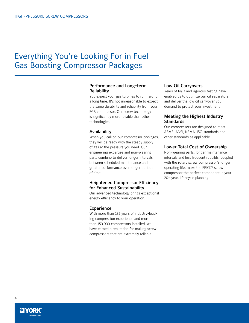## Everything You're Looking For in Fuel Gas Boosting Compressor Packages

### Performance and Long-term Reliability

You expect your gas turbines to run hard for a long time. It's not unreasonable to expect the same durability and reliability from your FGB compressor. Our screw technology is significantly more reliable than other technologies.

### Availability

When you call on our compressor packages, they will be ready with the steady supply of gas at the pressure you need. Our engineering expertise and non-wearing parts combine to deliver longer intervals between scheduled maintenance and greater performance over longer periods of time.

### Heightened Compressor Efficiency for Enhanced Sustainability

Our advanced technology brings exceptional energy efficiency to your operation.

### Experience

With more than 135 years of industry-leading compression experience and more than 150,000 compressors installed, we have earned a reputation for making screw compressors that are extremely reliable.

### Low Oil Carryovers

Years of R&D and rigorous testing have enabled us to optimize our oil separators and deliver the low oil carryover you demand to protect your investment.

### Meeting the Highest Industry **Standards**

Our compressors are designed to meet ASME, ANSI, NEMA, ISO standards and other standards as applicable.

#### Lower Total Cost of Ownership

Non-wearing parts, longer maintenance intervals and less frequent rebuilds, coupled with the rotary screw compressor's longer operating life, make the FRICK® screw compressor the perfect component in your 20+ year, life-cycle planning.

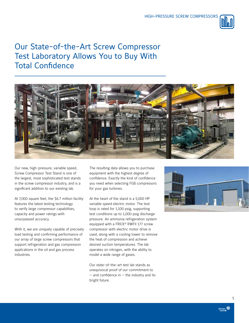

## Our State-of-the-Art Screw Compressor Test Laboratory Allows You to Buy With Total Confidence



Our new, high-pressure, variable speed, Screw Compressor Test Stand is one of the largest, most sophisticated test stands in the screw compressor industry, and is a significant addition to our existing lab.

At 7,000 square feet, the \$6.7 million facility features the latest testing technology to verify large compressor capabilities, capacity and power ratings with unsurpassed accuracy.

With it, we are uniquely capable of precisely load testing and confirming performance of our array of large screw compressors that support refrigeration and gas compression applications in the oil and gas process industries.

The resulting data allows you to purchase equipment with the highest degree of confidence. Exactly the kind of confidence you need when selecting FGB compressors for your gas turbines.

At the heart of the stand is a 5,000 HP variable speed electric motor. The test loop is rated for 1,100 psig, supporting test conditions up to 1,000 psig discharge pressure. An ammonia refrigeration system equipped with a FRICK® RWFII 177 screw compressor with electric motor drive is used, along with a cooling tower to remove the heat of compression and achieve desired suction temperatures. The lab operates on nitrogen, with the ability to model a wide range of gases.

Our state-of-the-art test lab stands as unequivocal proof of our commitment to  $-$  and confidence in  $-$  the industry and its bright future.



5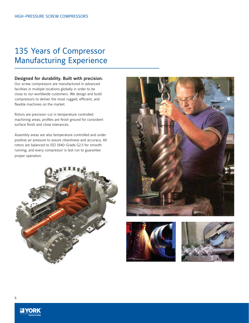## 135 Years of Compressor Manufacturing Experience

### Designed for durability. Built with precision.

Our screw compressors are manufactured in advanced facilities in multiple locations globally in order to be close to our worldwide customers. We design and build compressors to deliver the most rugged, efficient, and flexible machines on the market.

Rotors are precision-cut in temperature controlled machining areas; profiles are finish ground for consistent surface finish and close tolerances.

Assembly areas are also temperature controlled and under positive air pressure to assure cleanliness and accuracy. All rotors are balanced to ISO 1940-Grade G2.5 for smooth running, and every compressor is test run to guarantee proper operation.









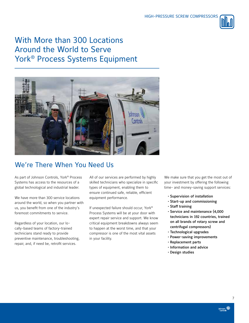

## With More than 300 Locations Around the World to Serve York® Process Systems Equipment



## We're There When You Need Us

As part of Johnson Controls, York® Process Systems has access to the resources of a global technological and industrial leader.

We have more than 300 service locations around the world, so when you partner with us, you benefit from one of the industry's foremost commitments to service.

Regardless of your location, our locally-based teams of factory-trained technicians stand ready to provide preventive maintenance, troubleshooting, repair, and, if need be, retrofit services.

All of our services are performed by highly skilled technicians who specialize in specific types of equipment, enabling them to ensure continued safe, reliable, efficient equipment performance.

If unexpected failure should occur, York® Process Systems will be at your door with expert repair service and support. We know critical equipment breakdowns always seem to happen at the worst time, and that your compressor is one of the most vital assets in your facility.

We make sure that you get the most out of your investment by offering the following time- and money-saving support services:

- Supervision of installation
- Start-up and commissioning
- Staff training
	- Service and maintenance (4,000 technicians in 192 countries, trained on all brands of rotary screw and centrifugal compressors)
	- Technological upgrades
- Power-saving improvements
- Replacement parts
- Information and advice
- Design studies